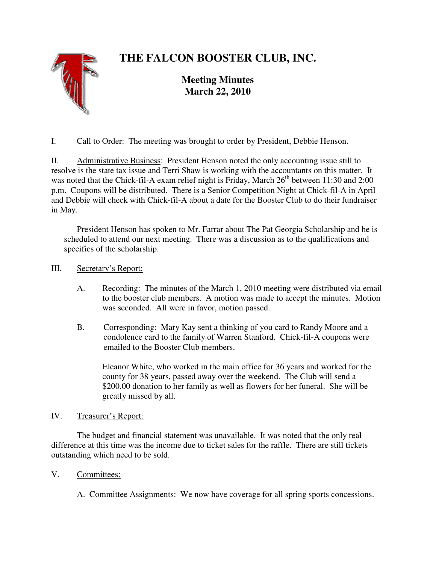# **THE FALCON BOOSTER CLUB, INC.**



**Meeting Minutes March 22, 2010**

I. Call to Order: The meeting was brought to order by President, Debbie Henson.

II. Administrative Business: President Henson noted the only accounting issue still to resolve is the state tax issue and Terri Shaw is working with the accountants on this matter. It was noted that the Chick-fil-A exam relief night is Friday, March  $26<sup>th</sup>$  between 11:30 and 2:00 p.m. Coupons will be distributed. There is a Senior Competition Night at Chick-fil-A in April and Debbie will check with Chick-fil-A about a date for the Booster Club to do their fundraiser in May.

 President Henson has spoken to Mr. Farrar about The Pat Georgia Scholarship and he is scheduled to attend our next meeting. There was a discussion as to the qualifications and specifics of the scholarship.

## III. Secretary's Report:

- A. Recording: The minutes of the March 1, 2010 meeting were distributed via email to the booster club members. A motion was made to accept the minutes. Motion was seconded. All were in favor, motion passed.
- B. Corresponding: Mary Kay sent a thinking of you card to Randy Moore and a condolence card to the family of Warren Stanford. Chick-fil-A coupons were emailed to the Booster Club members.

Eleanor White, who worked in the main office for 36 years and worked for the county for 38 years, passed away over the weekend. The Club will send a \$200.00 donation to her family as well as flowers for her funeral. She will be greatly missed by all.

## IV. Treasurer's Report:

 The budget and financial statement was unavailable. It was noted that the only real difference at this time was the income due to ticket sales for the raffle. There are still tickets outstanding which need to be sold.

## V. Committees:

A. Committee Assignments: We now have coverage for all spring sports concessions.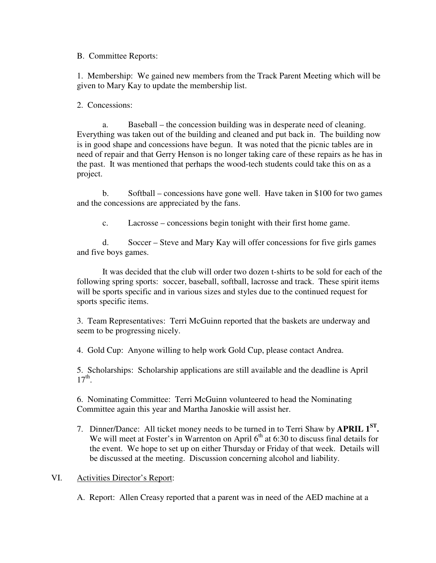B. Committee Reports:

1. Membership: We gained new members from the Track Parent Meeting which will be given to Mary Kay to update the membership list.

2. Concessions:

 a. Baseball – the concession building was in desperate need of cleaning. Everything was taken out of the building and cleaned and put back in. The building now is in good shape and concessions have begun. It was noted that the picnic tables are in need of repair and that Gerry Henson is no longer taking care of these repairs as he has in the past. It was mentioned that perhaps the wood-tech students could take this on as a project.

 b. Softball – concessions have gone well. Have taken in \$100 for two games and the concessions are appreciated by the fans.

c. Lacrosse – concessions begin tonight with their first home game.

 d. Soccer – Steve and Mary Kay will offer concessions for five girls games and five boys games.

 It was decided that the club will order two dozen t-shirts to be sold for each of the following spring sports: soccer, baseball, softball, lacrosse and track. These spirit items will be sports specific and in various sizes and styles due to the continued request for sports specific items.

3. Team Representatives: Terri McGuinn reported that the baskets are underway and seem to be progressing nicely.

4. Gold Cup: Anyone willing to help work Gold Cup, please contact Andrea.

5. Scholarships: Scholarship applications are still available and the deadline is April  $17<sup>th</sup>$ .

6. Nominating Committee: Terri McGuinn volunteered to head the Nominating Committee again this year and Martha Janoskie will assist her.

7. Dinner/Dance: All ticket money needs to be turned in to Terri Shaw by **APRIL 1ST .** We will meet at Foster's in Warrenton on April  $6<sup>th</sup>$  at 6:30 to discuss final details for the event. We hope to set up on either Thursday or Friday of that week. Details will be discussed at the meeting. Discussion concerning alcohol and liability.

VI. Activities Director's Report:

A. Report: Allen Creasy reported that a parent was in need of the AED machine at a